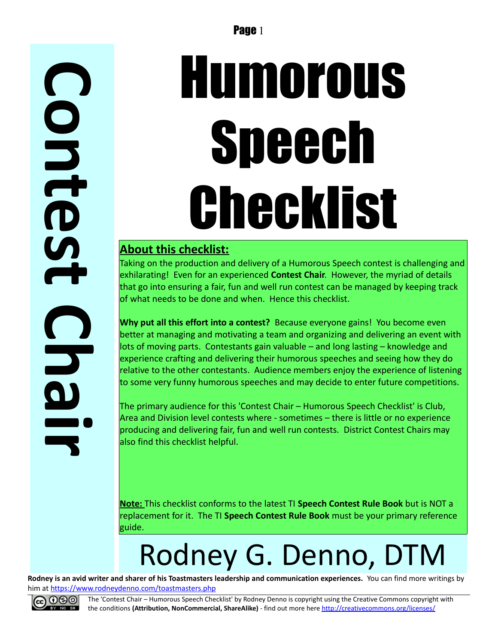**C o n t e s t C h a i r**

# Humorous **Speech** Checklist

#### **About this checklist:**

Taking on the production and delivery of a Humorous Speech contest is challenging and exhilarating! Even for an experienced **Contest Chair**. However, the myriad of details that go into ensuring a fair, fun and well run contest can be managed by keeping track of what needs to be done and when. Hence this checklist.

**Why put all this effort into a contest?** Because everyone gains! You become even better at managing and motivating a team and organizing and delivering an event with lots of moving parts. Contestants gain valuable – and long lasting – knowledge and experience crafting and delivering their humorous speeches and seeing how they do relative to the other contestants. Audience members enjoy the experience of listening to some very funny humorous speeches and may decide to enter future competitions.

The primary audience for this 'Contest Chair – Humorous Speech Checklist' is Club, Area and Division level contests where - sometimes – there is little or no experience producing and delivering fair, fun and well run contests. District Contest Chairs may also find this checklist helpful.

**Note:** This checklist conforms to the latest TI **Speech Contest Rule Book** but is NOT a replacement for it. The TI **Speech Contest Rule Book** must be your primary reference guide.

## Rodney G. Denno, DTM

**Rodney is an avid writer and sharer of his Toastmasters leadership and communication experiences.** You can find more writings by him at<https://www.rodneydenno.com/toastmasters.php>



The 'Contest Chair – Humorous Speech Checklist' by Rodney Denno is copyright using the Creative Commons copyright with the conditions **(Attribution, NonCommercial, ShareAlike)** - find out more here<http://creativecommons.org/licenses/>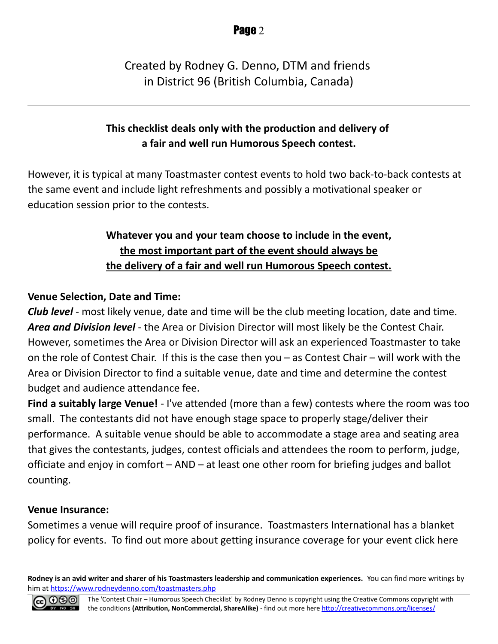#### Created by Rodney G. Denno, DTM and friends in District 96 (British Columbia, Canada)

#### **This checklist deals only with the production and delivery of a fair and well run Humorous Speech contest.**

However, it is typical at many Toastmaster contest events to hold two back-to-back contests at the same event and include light refreshments and possibly a motivational speaker or education session prior to the contests.

#### **Whatever you and your team choose to include in the event, the most important part of the event should always be the delivery of a fair and well run Humorous Speech contest.**

#### **Venue Selection, Date and Time:**

*Club level* - most likely venue, date and time will be the club meeting location, date and time. *Area and Division level* - the Area or Division Director will most likely be the Contest Chair. However, sometimes the Area or Division Director will ask an experienced Toastmaster to take on the role of Contest Chair. If this is the case then you – as Contest Chair – will work with the Area or Division Director to find a suitable venue, date and time and determine the contest budget and audience attendance fee.

**Find a suitably large Venue!** - I've attended (more than a few) contests where the room was too small. The contestants did not have enough stage space to properly stage/deliver their performance. A suitable venue should be able to accommodate a stage area and seating area that gives the contestants, judges, contest officials and attendees the room to perform, judge, officiate and enjoy in comfort – AND – at least one other room for briefing judges and ballot counting.

#### **Venue Insurance:**

Sometimes a venue will require proof of insurance. Toastmasters International has a blanket policy for events. To find out more about getting insurance coverage for your event click here

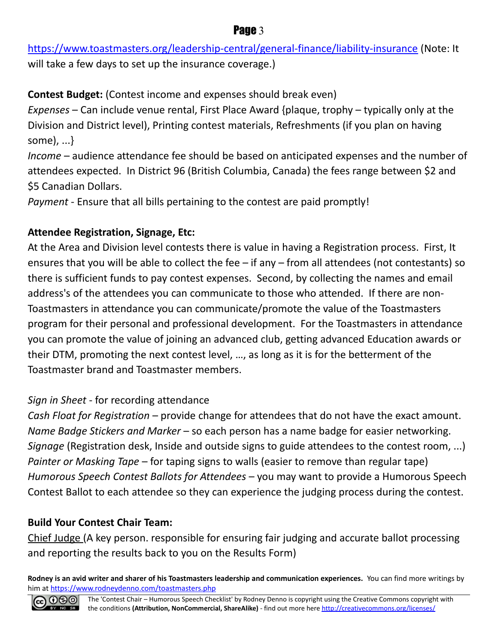<https://www.toastmasters.org/leadership-central/general-finance/liability-insurance>(Note: It will take a few days to set up the insurance coverage.)

**Contest Budget:** (Contest income and expenses should break even)

*Expenses* – Can include venue rental, First Place Award {plaque, trophy – typically only at the Division and District level), Printing contest materials, Refreshments (if you plan on having some), ...}

*Income* – audience attendance fee should be based on anticipated expenses and the number of attendees expected. In District 96 (British Columbia, Canada) the fees range between \$2 and \$5 Canadian Dollars.

*Payment* - Ensure that all bills pertaining to the contest are paid promptly!

#### **Attendee Registration, Signage, Etc:**

At the Area and Division level contests there is value in having a Registration process. First, It ensures that you will be able to collect the fee – if any – from all attendees (not contestants) so there is sufficient funds to pay contest expenses. Second, by collecting the names and email address's of the attendees you can communicate to those who attended. If there are non-Toastmasters in attendance you can communicate/promote the value of the Toastmasters program for their personal and professional development. For the Toastmasters in attendance you can promote the value of joining an advanced club, getting advanced Education awards or their DTM, promoting the next contest level, …, as long as it is for the betterment of the Toastmaster brand and Toastmaster members.

#### *Sign in Sheet* - for recording attendance

*Cash Float for Registration* – provide change for attendees that do not have the exact amount. *Name Badge Stickers and Marker* – so each person has a name badge for easier networking. *Signage* (Registration desk, Inside and outside signs to guide attendees to the contest room, ...) *Painter or Masking Tape* – for taping signs to walls (easier to remove than regular tape) *Humorous Speech Contest Ballots for Attendees* – you may want to provide a Humorous Speech Contest Ballot to each attendee so they can experience the judging process during the contest.

#### **Build Your Contest Chair Team:**

Chief Judge (A key person. responsible for ensuring fair judging and accurate ballot processing and reporting the results back to you on the Results Form)

**Rodney is an avid writer and sharer of his Toastmasters leadership and communication experiences.** You can find more writings by him at<https://www.rodneydenno.com/toastmasters.php>



#### Page 3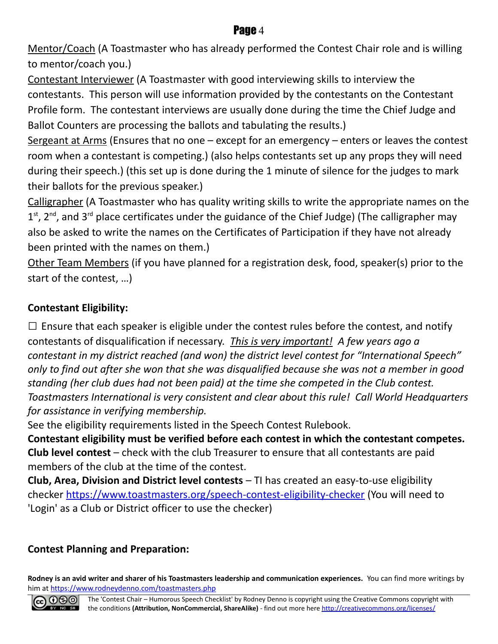Mentor/Coach (A Toastmaster who has already performed the Contest Chair role and is willing to mentor/coach you.)

Contestant Interviewer (A Toastmaster with good interviewing skills to interview the contestants. This person will use information provided by the contestants on the Contestant Profile form. The contestant interviews are usually done during the time the Chief Judge and Ballot Counters are processing the ballots and tabulating the results.)

Sergeant at Arms (Ensures that no one  $-$  except for an emergency  $-$  enters or leaves the contest room when a contestant is competing.) (also helps contestants set up any props they will need during their speech.) (this set up is done during the 1 minute of silence for the judges to mark their ballots for the previous speaker.)

Calligrapher (A Toastmaster who has quality writing skills to write the appropriate names on the  $1<sup>st</sup>$ , 2<sup>nd</sup>, and 3<sup>rd</sup> place certificates under the guidance of the Chief Judge) (The calligrapher may also be asked to write the names on the Certificates of Participation if they have not already been printed with the names on them.)

Other Team Members (if you have planned for a registration desk, food, speaker(s) prior to the start of the contest, …)

#### **Contestant Eligibility:**

 $\square$  Ensure that each speaker is eligible under the contest rules before the contest, and notify contestants of disqualification if necessary. *This is very important! A few years ago a contestant in my district reached (and won) the district level contest for "International Speech" only to find out after she won that she was disqualified because she was not a member in good standing (her club dues had not been paid) at the time she competed in the Club contest. Toastmasters International is very consistent and clear about this rule! Call World Headquarters for assistance in verifying membership.*

See the eligibility requirements listed in the Speech Contest Rulebook.

**Contestant eligibility must be verified before each contest in which the contestant competes. Club level contest** – check with the club Treasurer to ensure that all contestants are paid members of the club at the time of the contest.

**Club, Area, Division and District level contests** – TI has created an easy-to-use eligibility checker<https://www.toastmasters.org/speech-contest-eligibility-checker>(You will need to 'Login' as a Club or District officer to use the checker)

#### **Contest Planning and Preparation:**

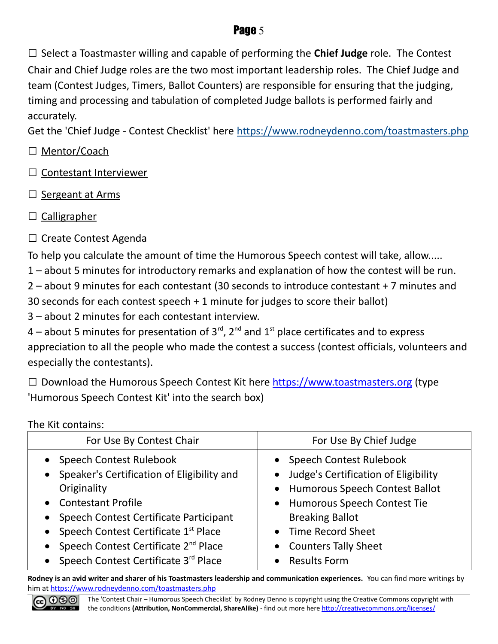□ Select a Toastmaster willing and capable of performing the **Chief Judge** role. The Contest Chair and Chief Judge roles are the two most important leadership roles. The Chief Judge and team (Contest Judges, Timers, Ballot Counters) are responsible for ensuring that the judging, timing and processing and tabulation of completed Judge ballots is performed fairly and accurately.

Get the 'Chief Judge - Contest Checklist' here<https://www.rodneydenno.com/toastmasters.php>

- □ Mentor/Coach
- □ Contestant Interviewer
- □ Sergeant at Arms
- $\Box$  Calligrapher
- □ Create Contest Agenda

To help you calculate the amount of time the Humorous Speech contest will take, allow.....

1 – about 5 minutes for introductory remarks and explanation of how the contest will be run.

2 – about 9 minutes for each contestant (30 seconds to introduce contestant + 7 minutes and 30 seconds for each contest speech + 1 minute for judges to score their ballot)

3 – about 2 minutes for each contestant interview.

4 – about 5 minutes for presentation of  $3^{\text{rd}}$ ,  $2^{\text{nd}}$  and  $1^{\text{st}}$  place certificates and to express appreciation to all the people who made the contest a success (contest officials, volunteers and especially the contestants).

 $\Box$  Download the Humorous Speech Contest Kit here [https://www.toastmasters.org](https://www.toastmasters.org/) (type 'Humorous Speech Contest Kit' into the search box)

The Kit contains:

| For Use By Contest Chair                                                                                                                                                                                                                                     | For Use By Chief Judge                                                                                                                                                                                              |
|--------------------------------------------------------------------------------------------------------------------------------------------------------------------------------------------------------------------------------------------------------------|---------------------------------------------------------------------------------------------------------------------------------------------------------------------------------------------------------------------|
| • Speech Contest Rulebook<br>• Speaker's Certification of Eligibility and<br>Originality<br>• Contestant Profile<br>• Speech Contest Certificate Participant<br>• Speech Contest Certificate 1st Place<br>• Speech Contest Certificate 2 <sup>nd</sup> Place | • Speech Contest Rulebook<br>• Judge's Certification of Eligibility<br>• Humorous Speech Contest Ballot<br>• Humorous Speech Contest Tie<br><b>Breaking Ballot</b><br>• Time Record Sheet<br>• Counters Tally Sheet |
| • Speech Contest Certificate 3rd Place                                                                                                                                                                                                                       | • Results Form                                                                                                                                                                                                      |

**Rodney is an avid writer and sharer of his Toastmasters leadership and communication experiences.** You can find more writings by him at<https://www.rodneydenno.com/toastmasters.php>



The 'Contest Chair – Humorous Speech Checklist' by Rodney Denno is copyright using the Creative Commons copyright with the conditions **(Attribution, NonCommercial, ShareAlike)** - find out more here<http://creativecommons.org/licenses/>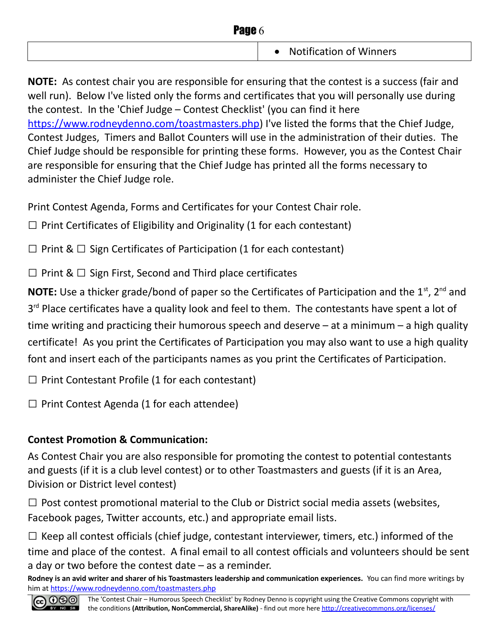| Page 6 |                                             |
|--------|---------------------------------------------|
|        | <b>Notification of Winners</b><br>$\bullet$ |

**NOTE:** As contest chair you are responsible for ensuring that the contest is a success (fair and well run). Below I've listed only the forms and certificates that you will personally use during the contest. In the 'Chief Judge – Contest Checklist' (you can find it here [https://www.rodneydenno.com/toastmasters.php\)](https://www.rodneydenno.com/toastmasters.php) I've listed the forms that the Chief Judge, Contest Judges, Timers and Ballot Counters will use in the administration of their duties. The Chief Judge should be responsible for printing these forms. However, you as the Contest Chair are responsible for ensuring that the Chief Judge has printed all the forms necessary to administer the Chief Judge role.

Print Contest Agenda, Forms and Certificates for your Contest Chair role.

 $\Box$  Print Certificates of Eligibility and Originality (1 for each contestant)

 $\Box$  Print &  $\Box$  Sign Certificates of Participation (1 for each contestant)

 $\Box$  Print &  $\Box$  Sign First, Second and Third place certificates

**NOTE:** Use a thicker grade/bond of paper so the Certificates of Participation and the 1<sup>st</sup>, 2<sup>nd</sup> and 3<sup>rd</sup> Place certificates have a quality look and feel to them. The contestants have spent a lot of time writing and practicing their humorous speech and deserve  $-$  at a minimum  $-$  a high quality certificate! As you print the Certificates of Participation you may also want to use a high quality font and insert each of the participants names as you print the Certificates of Participation.

 $\Box$  Print Contestant Profile (1 for each contestant)

 $\Box$  Print Contest Agenda (1 for each attendee)

#### **Contest Promotion & Communication:**

As Contest Chair you are also responsible for promoting the contest to potential contestants and guests (if it is a club level contest) or to other Toastmasters and guests (if it is an Area, Division or District level contest)

 $\Box$  Post contest promotional material to the Club or District social media assets (websites, Facebook pages, Twitter accounts, etc.) and appropriate email lists.

 $\Box$  Keep all contest officials (chief judge, contestant interviewer, timers, etc.) informed of the time and place of the contest. A final email to all contest officials and volunteers should be sent a day or two before the contest date – as a reminder.

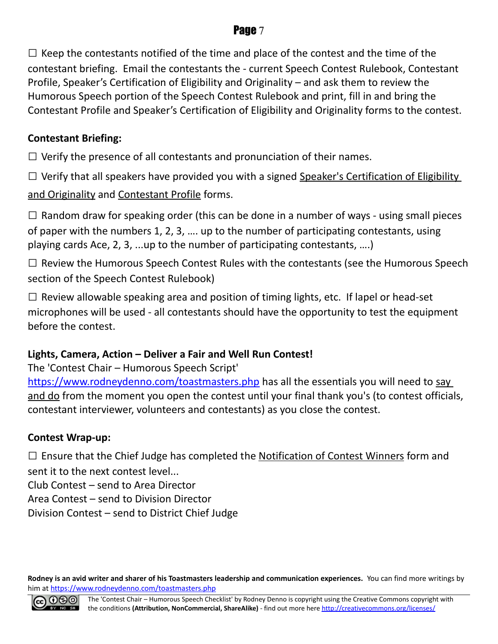$\square$  Keep the contestants notified of the time and place of the contest and the time of the contestant briefing. Email the contestants the - current Speech Contest Rulebook, Contestant Profile, Speaker's Certification of Eligibility and Originality – and ask them to review the Humorous Speech portion of the Speech Contest Rulebook and print, fill in and bring the Contestant Profile and Speaker's Certification of Eligibility and Originality forms to the contest.

#### **Contestant Briefing:**

 $\Box$  Verify the presence of all contestants and pronunciation of their names.

 $\square$  Verify that all speakers have provided you with a signed Speaker's Certification of Eligibility

and Originality and Contestant Profile forms.

 $\square$  Random draw for speaking order (this can be done in a number of ways - using small pieces of paper with the numbers 1, 2, 3, …. up to the number of participating contestants, using playing cards Ace, 2, 3, ...up to the number of participating contestants, ….)

 $\square$  Review the Humorous Speech Contest Rules with the contestants (see the Humorous Speech section of the Speech Contest Rulebook)

 $\square$  Review allowable speaking area and position of timing lights, etc. If lapel or head-set microphones will be used - all contestants should have the opportunity to test the equipment before the contest.

#### **Lights, Camera, Action – Deliver a Fair and Well Run Contest!**

The 'Contest Chair – Humorous Speech Script'

<https://www.rodneydenno.com/toastmasters.php>has all the essentials you will need to say and do from the moment you open the contest until your final thank you's (to contest officials, contestant interviewer, volunteers and contestants) as you close the contest.

#### **Contest Wrap-up:**

 $\square$  Ensure that the Chief Judge has completed the Notification of Contest Winners form and sent it to the next contest level...

Club Contest – send to Area Director

Area Contest – send to Division Director

Division Contest – send to District Chief Judge